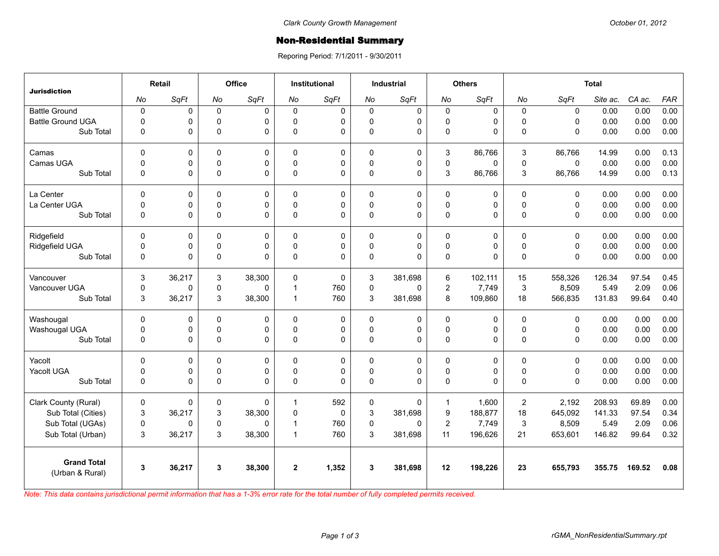## **Non-Residential Summary**

Reporing Period: 7/1/2011 - 9/30/2011

| <b>Jurisdiction</b>                   | Retail      |        | <b>Office</b> |             | <b>Institutional</b> |             | <b>Industrial</b> |             | <b>Others</b>    |          | <b>Total</b> |              |          |        |            |
|---------------------------------------|-------------|--------|---------------|-------------|----------------------|-------------|-------------------|-------------|------------------|----------|--------------|--------------|----------|--------|------------|
|                                       | No          | SqFt   | No            | SqFt        | No                   | SqFt        | No                | SqFt        | No               | SqFt     | No           | SqFt         | Site ac. | CA ac. | <b>FAR</b> |
| <b>Battle Ground</b>                  | $\pmb{0}$   | 0      | $\pmb{0}$     | 0           | $\Omega$             | $\mathbf 0$ | 0                 | 0           | $\pmb{0}$        | 0        | $\mathbf 0$  | $\mathbf 0$  | 0.00     | 0.00   | 0.00       |
| <b>Battle Ground UGA</b>              | $\mathbf 0$ | 0      | $\mathbf 0$   | 0           | $\Omega$             | 0           | 0                 | 0           | $\mathbf 0$      | 0        | $\Omega$     | $\Omega$     | 0.00     | 0.00   | 0.00       |
| Sub Total                             | $\mathbf 0$ | 0      | $\mathbf 0$   | $\Omega$    | $\mathbf{0}$         | 0           | 0                 | $\mathbf 0$ | $\pmb{0}$        | 0        | $\Omega$     | $\mathbf 0$  | 0.00     | 0.00   | 0.00       |
| Camas                                 | $\mathbf 0$ | 0      | $\mathbf 0$   | $\mathbf 0$ | $\mathbf{0}$         | 0           | $\mathbf 0$       | 0           | 3                | 86,766   | 3            | 86,766       | 14.99    | 0.00   | 0.13       |
| Camas UGA                             | $\mathbf 0$ | 0      | $\mathbf 0$   | $\Omega$    | $\mathbf{0}$         | 0           | 0                 | $\mathbf 0$ | $\pmb{0}$        | 0        | 0            | $\mathbf{0}$ | 0.00     | 0.00   | 0.00       |
| Sub Total                             | $\mathbf 0$ | 0      | $\mathsf 0$   | 0           | $\mathbf 0$          | 0           | 0                 | $\mathbf 0$ | 3                | 86,766   | 3            | 86,766       | 14.99    | 0.00   | 0.13       |
| La Center                             | $\mathbf 0$ | 0      | 0             | $\mathbf 0$ | $\mathbf{0}$         | 0           | $\mathbf 0$       | $\mathbf 0$ | $\mathbf 0$      | 0        | $\mathbf 0$  | $\mathbf 0$  | 0.00     | 0.00   | 0.00       |
| La Center UGA                         | $\mathbf 0$ | 0      | 0             | 0           | $\Omega$             | 0           | 0                 | 0           | $\mathbf 0$      | 0        | $\Omega$     | $\Omega$     | 0.00     | 0.00   | 0.00       |
| Sub Total                             | $\mathbf 0$ | 0      | $\pmb{0}$     | $\Omega$    | $\mathbf{0}$         | 0           | 0                 | $\Omega$    | $\pmb{0}$        | 0        | $\Omega$     | $\Omega$     | 0.00     | 0.00   | 0.00       |
| Ridgefield                            | $\Omega$    | 0      | 0             | 0           | 0                    | 0           | $\mathbf 0$       | 0           | 0                | 0        | $\Omega$     | $\Omega$     | 0.00     | 0.00   | 0.00       |
| Ridgefield UGA                        | $\mathbf 0$ | 0      | $\mathbf 0$   | 0           | $\mathbf{0}$         | 0           | 0                 | 0           | $\mathbf 0$      | 0        | $\Omega$     | $\Omega$     | 0.00     | 0.00   | 0.00       |
| Sub Total                             | $\mathbf 0$ | 0      | $\mathbf 0$   | $\Omega$    | $\Omega$             | 0           | 0                 | $\Omega$    | 0                | 0        | $\Omega$     | $\Omega$     | 0.00     | 0.00   | 0.00       |
| Vancouver                             | 3           | 36,217 | 3             | 38,300      | $\Omega$             | 0           | 3                 | 381.698     | 6                | 102,111  | 15           | 558,326      | 126.34   | 97.54  | 0.45       |
| Vancouver UGA                         | $\mathbf 0$ | 0      | 0             | $\Omega$    | 1                    | 760         | 0                 | $\Omega$    | $\mathbf 2$      | 7,749    | $\mathbf{3}$ | 8,509        | 5.49     | 2.09   | 0.06       |
| Sub Total                             | 3           | 36,217 | 3             | 38,300      | 1                    | 760         | 3                 | 381,698     | 8                | 109,860  | 18           | 566,835      | 131.83   | 99.64  | 0.40       |
| Washougal                             | $\mathbf 0$ | 0      | 0             | 0           | $\Omega$             | 0           | $\mathbf 0$       | 0           | 0                | 0        | $\Omega$     | $\Omega$     | 0.00     | 0.00   | 0.00       |
| Washougal UGA                         | $\pmb{0}$   | 0      | 0             | 0           | $\mathbf{0}$         | 0           | 0                 | 0           | $\pmb{0}$        | 0        | $\mathbf 0$  | 0            | 0.00     | 0.00   | 0.00       |
| Sub Total                             | $\mathbf 0$ | 0      | $\mathbf 0$   | $\Omega$    | 0                    | 0           | 0                 | $\Omega$    | 0                | 0        | $\Omega$     | 0            | 0.00     | 0.00   | 0.00       |
| Yacolt                                | 0           | 0      | 0             | $\Omega$    | $\Omega$             | 0           | $\mathbf 0$       | 0           | 0                | 0        | $\Omega$     | $\Omega$     | 0.00     | 0.00   | 0.00       |
| Yacolt UGA                            | $\mathbf 0$ | 0      | 0             | 0           | $\Omega$             | 0           | 0                 | 0           | $\pmb{0}$        | 0        | $\mathbf 0$  | 0            | 0.00     | 0.00   | 0.00       |
| Sub Total                             | $\Omega$    | 0      | $\mathbf 0$   | $\Omega$    | $\mathbf{0}$         | 0           | $\Omega$          | $\Omega$    | 0                | $\Omega$ | $\Omega$     | $\Omega$     | 0.00     | 0.00   | 0.00       |
| Clark County (Rural)                  | 0           | 0      | 0             | $\Omega$    | 1                    | 592         | 0                 | $\Omega$    | $\mathbf{1}$     | 1,600    | 2            | 2.192        | 208.93   | 69.89  | 0.00       |
| Sub Total (Cities)                    | 3           | 36,217 | 3             | 38,300      | $\mathbf 0$          | 0           | 3                 | 381,698     | $\boldsymbol{9}$ | 188,877  | 18           | 645,092      | 141.33   | 97.54  | 0.34       |
| Sub Total (UGAs)                      | $\mathbf 0$ | 0      | 0             | $\Omega$    | 1                    | 760         | 0                 | $\Omega$    | $\overline{c}$   | 7,749    | 3            | 8,509        | 5.49     | 2.09   | 0.06       |
| Sub Total (Urban)                     | 3           | 36,217 | 3             | 38,300      | 1                    | 760         | 3                 | 381,698     | 11               | 196,626  | 21           | 653,601      | 146.82   | 99.64  | 0.32       |
| <b>Grand Total</b><br>(Urban & Rural) | 3           | 36,217 | 3             | 38,300      | $\mathbf{2}$         | 1,352       | 3                 | 381,698     | 12               | 198,226  | 23           | 655,793      | 355.75   | 169.52 | 0.08       |

*Note: This data contains jurisdictional permit information that has a 1-3% error rate for the total number of fully completed permits received.*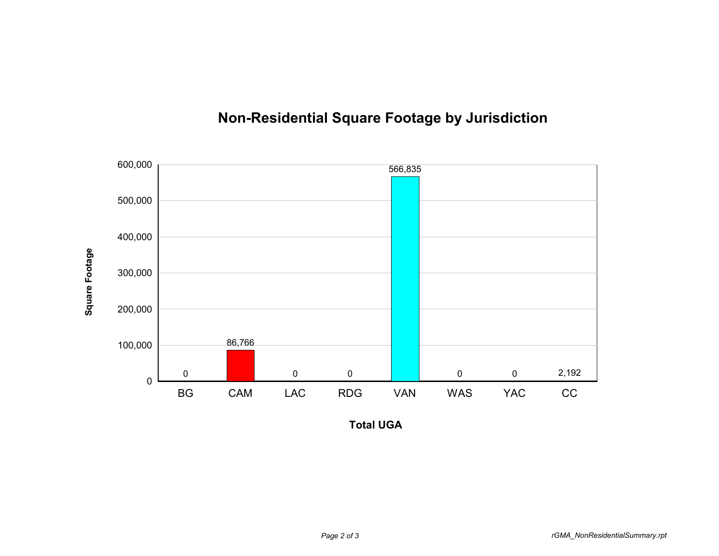

## **Non-Residential Square Footage by Jurisdiction**

**Total UGA**